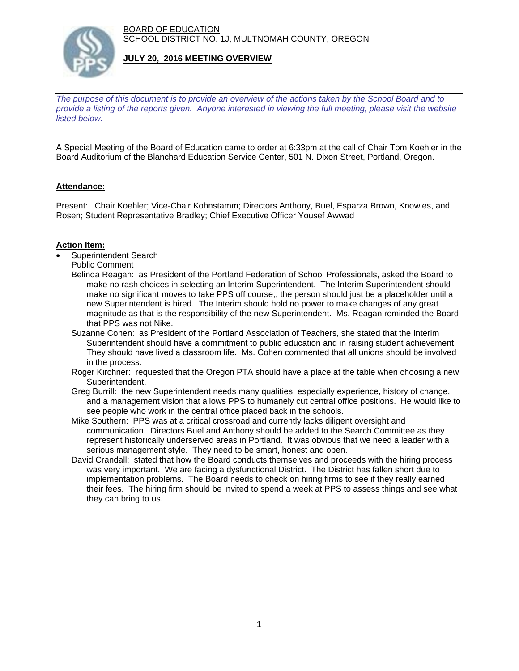BOARD OF EDUCATION SCHOOL DISTRICT NO. 1J, MULTNOMAH COUNTY, OREGON



### **JULY 20, 2016 MEETING OVERVIEW**

*The purpose of this document is to provide an overview of the actions taken by the School Board and to provide a listing of the reports given. Anyone interested in viewing the full meeting, please visit the website listed below.*

A Special Meeting of the Board of Education came to order at 6:33pm at the call of Chair Tom Koehler in the Board Auditorium of the Blanchard Education Service Center, 501 N. Dixon Street, Portland, Oregon.

# **Attendance:**

Present: Chair Koehler; Vice-Chair Kohnstamm; Directors Anthony, Buel, Esparza Brown, Knowles, and Rosen; Student Representative Bradley; Chief Executive Officer Yousef Awwad

# **Action Item:**

- Superintendent Search
	- Public Comment
	- Belinda Reagan: as President of the Portland Federation of School Professionals, asked the Board to make no rash choices in selecting an Interim Superintendent. The Interim Superintendent should make no significant moves to take PPS off course;; the person should just be a placeholder until a new Superintendent is hired. The Interim should hold no power to make changes of any great magnitude as that is the responsibility of the new Superintendent. Ms. Reagan reminded the Board that PPS was not Nike.
	- Suzanne Cohen: as President of the Portland Association of Teachers, she stated that the Interim Superintendent should have a commitment to public education and in raising student achievement. They should have lived a classroom life. Ms. Cohen commented that all unions should be involved in the process.
	- Roger Kirchner: requested that the Oregon PTA should have a place at the table when choosing a new Superintendent.
	- Greg Burrill: the new Superintendent needs many qualities, especially experience, history of change, and a management vision that allows PPS to humanely cut central office positions. He would like to see people who work in the central office placed back in the schools.
	- Mike Southern: PPS was at a critical crossroad and currently lacks diligent oversight and communication. Directors Buel and Anthony should be added to the Search Committee as they represent historically underserved areas in Portland. It was obvious that we need a leader with a serious management style. They need to be smart, honest and open.
	- David Crandall: stated that how the Board conducts themselves and proceeds with the hiring process was very important. We are facing a dysfunctional District. The District has fallen short due to implementation problems. The Board needs to check on hiring firms to see if they really earned their fees. The hiring firm should be invited to spend a week at PPS to assess things and see what they can bring to us.